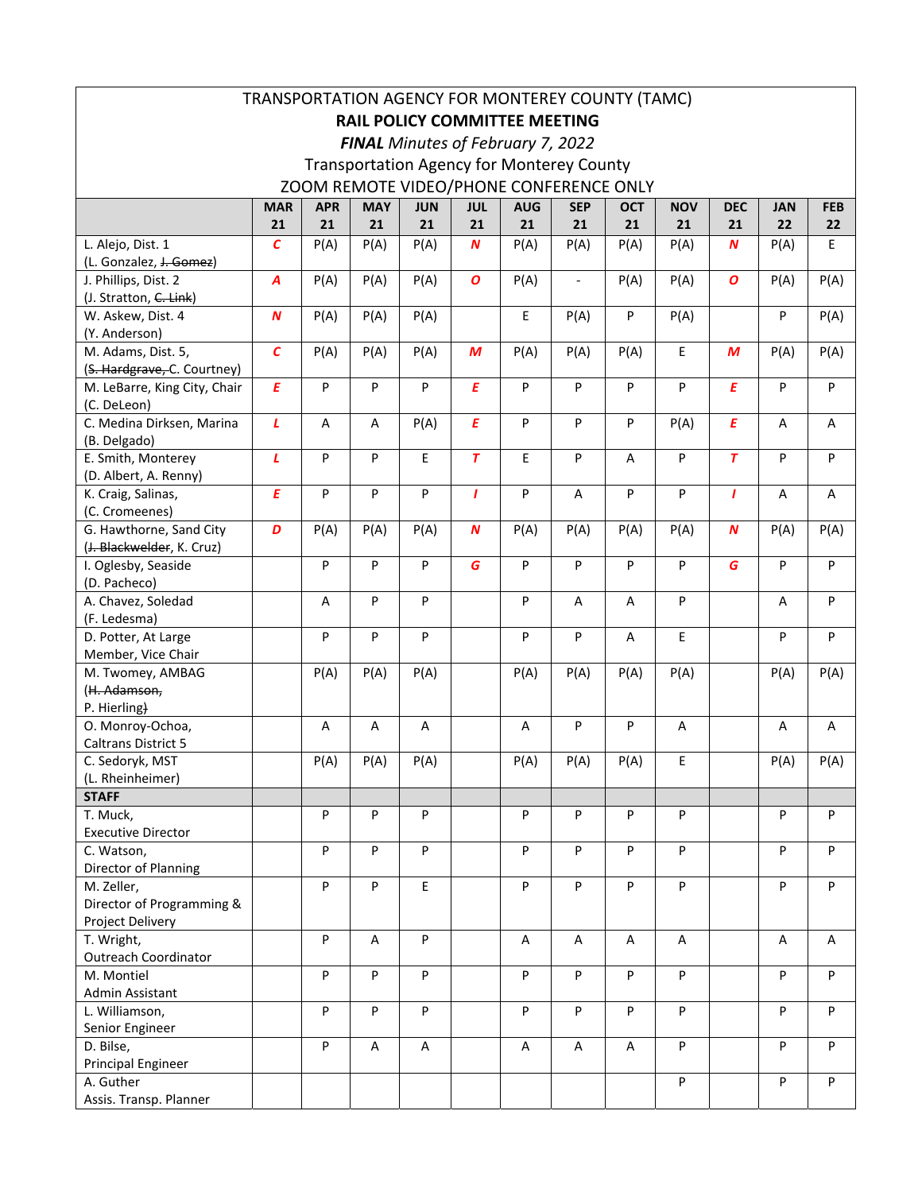| TRANSPORTATION AGENCY FOR MONTEREY COUNTY (TAMC) |                   |            |                |            |                  |            |                          |            |            |                         |            |            |
|--------------------------------------------------|-------------------|------------|----------------|------------|------------------|------------|--------------------------|------------|------------|-------------------------|------------|------------|
| <b>RAIL POLICY COMMITTEE MEETING</b>             |                   |            |                |            |                  |            |                          |            |            |                         |            |            |
| FINAL Minutes of February 7, 2022                |                   |            |                |            |                  |            |                          |            |            |                         |            |            |
| <b>Transportation Agency for Monterey County</b> |                   |            |                |            |                  |            |                          |            |            |                         |            |            |
| ZOOM REMOTE VIDEO/PHONE CONFERENCE ONLY          |                   |            |                |            |                  |            |                          |            |            |                         |            |            |
|                                                  | <b>MAR</b>        | <b>APR</b> | <b>MAY</b>     | <b>JUN</b> | <b>JUL</b>       | <b>AUG</b> | <b>SEP</b>               | <b>OCT</b> | <b>NOV</b> | <b>DEC</b>              | <b>JAN</b> | <b>FEB</b> |
|                                                  | 21                | 21         | 21             | 21         | 21               | 21         | 21                       | 21         | 21         | 21                      | 22         | 22         |
| L. Alejo, Dist. 1                                | $\mathcal{C}_{0}$ | P(A)       | P(A)           | P(A)       | $\boldsymbol{N}$ | P(A)       | P(A)                     | P(A)       | P(A)       | $\boldsymbol{N}$        | P(A)       | E          |
| (L. Gonzalez, <del>J. Gomez</del> )              |                   |            |                |            |                  |            |                          |            |            |                         |            |            |
| J. Phillips, Dist. 2                             | A                 | P(A)       | P(A)           | P(A)       | $\boldsymbol{o}$ | P(A)       | $\overline{\phantom{a}}$ | P(A)       | P(A)       | $\boldsymbol{o}$        | P(A)       | P(A)       |
| (J. Stratton, C. Link)                           |                   |            |                |            |                  |            |                          |            |            |                         |            |            |
| W. Askew, Dist. 4                                | $\boldsymbol{N}$  | P(A)       | P(A)           | P(A)       |                  | E          | P(A)                     | P          | P(A)       |                         | P          | P(A)       |
| (Y. Anderson)                                    |                   |            |                |            |                  |            |                          |            |            |                         |            |            |
| M. Adams, Dist. 5,                               | $\overline{c}$    | P(A)       | P(A)           | P(A)       | M                | P(A)       | P(A)                     | P(A)       | E          | M                       | P(A)       | P(A)       |
| (S. Hardgrave, C. Courtney)                      |                   |            |                |            |                  |            |                          |            |            |                         |            |            |
| M. LeBarre, King City, Chair                     | E                 | P          | P              | P          | $\overline{E}$   | P          | P                        | P          | P          | $\pmb{E}$               | P          | ${\sf P}$  |
| (C. DeLeon)                                      |                   |            |                |            |                  |            |                          |            |            |                         |            |            |
| C. Medina Dirksen, Marina                        | $\mathbf{L}$      | A          | A              | P(A)       | $\boldsymbol{E}$ | P          | P                        | P          | P(A)       | E                       | A          | A          |
| (B. Delgado)                                     |                   |            |                |            |                  |            |                          |            |            |                         |            |            |
| E. Smith, Monterey                               | L                 | P          | P              | E          | $\overline{r}$   | E.         | P                        | A          | P          | $\overline{\mathbf{r}}$ | P          | P          |
| (D. Albert, A. Renny)                            |                   |            |                |            |                  |            |                          |            |            |                         |            |            |
| K. Craig, Salinas,                               | E                 | P          | P              | P          | $\mathbf{I}$     | P          | A                        | P          | P          | $\mathbf{I}$            | Α          | Α          |
| (C. Cromeenes)                                   |                   |            |                |            |                  |            |                          |            |            |                         |            |            |
| G. Hawthorne, Sand City                          | D                 | P(A)       | P(A)           | P(A)       | $\boldsymbol{N}$ | P(A)       | P(A)                     | P(A)       | P(A)       | $\boldsymbol{N}$        | P(A)       | P(A)       |
| (J. Blackwelder, K. Cruz)                        |                   |            |                |            |                  |            |                          |            |            |                         |            |            |
| I. Oglesby, Seaside                              |                   | P          | P              | P          | G                | P          | P                        | P          | P          | G                       | P          | ${\sf P}$  |
| (D. Pacheco)                                     |                   |            |                |            |                  |            |                          |            |            |                         |            |            |
| A. Chavez, Soledad                               |                   | Α          | P              | P          |                  | P          | A                        | A          | P          |                         | Α          | P          |
| (F. Ledesma)                                     |                   |            |                |            |                  |            |                          |            |            |                         |            |            |
| D. Potter, At Large                              |                   | P          | P              | P          |                  | P          | P                        | A          | E          |                         | P          | ${\sf P}$  |
| Member, Vice Chair<br>M. Twomey, AMBAG           |                   |            |                |            |                  |            |                          |            |            |                         |            |            |
| (H. Adamson,                                     |                   | P(A)       | P(A)           | P(A)       |                  | P(A)       | P(A)                     | P(A)       | P(A)       |                         | P(A)       | P(A)       |
| P. Hierling)                                     |                   |            |                |            |                  |            |                          |            |            |                         |            |            |
| O. Monroy-Ochoa,                                 |                   | Α          | Α              | Α          |                  | Α          | P                        | P          | Α          |                         | Α          | Α          |
| <b>Caltrans District 5</b>                       |                   |            |                |            |                  |            |                          |            |            |                         |            |            |
| C. Sedoryk, MST                                  |                   | P(A)       | P(A)           | P(A)       |                  | P(A)       | P(A)                     | P(A)       | E.         |                         | P(A)       | P(A)       |
| (L. Rheinheimer)                                 |                   |            |                |            |                  |            |                          |            |            |                         |            |            |
| <b>STAFF</b>                                     |                   |            |                |            |                  |            |                          |            |            |                         |            |            |
| T. Muck,                                         |                   | P          | P              | P          |                  | P          | P                        | P          | P          |                         | P          | P          |
| <b>Executive Director</b>                        |                   |            |                |            |                  |            |                          |            |            |                         |            |            |
| C. Watson,                                       |                   | P          | P              | P          |                  | P          | P                        | P          | P          |                         | P          | P          |
| Director of Planning                             |                   |            |                |            |                  |            |                          |            |            |                         |            |            |
| M. Zeller,                                       |                   | P          | P              | E          |                  | P          | P                        | P          | P          |                         | P          | P          |
| Director of Programming &                        |                   |            |                |            |                  |            |                          |            |            |                         |            |            |
| Project Delivery                                 |                   |            |                |            |                  |            |                          |            |            |                         |            |            |
| T. Wright,                                       |                   | P          | $\overline{A}$ | P          |                  | A          | A                        | A          | A          |                         | Α          | Α          |
| <b>Outreach Coordinator</b>                      |                   |            |                |            |                  |            |                          |            |            |                         |            |            |
| M. Montiel                                       |                   | P          | P              | P          |                  | P          | P                        | P          | P          |                         | P          | P          |
| Admin Assistant                                  |                   |            |                |            |                  |            |                          |            |            |                         |            |            |
| L. Williamson,                                   |                   | P          | P              | P          |                  | P          | P                        | P          | P          |                         | P          | P          |
| Senior Engineer                                  |                   |            |                |            |                  |            |                          |            |            |                         |            |            |
| D. Bilse,                                        |                   | P          | A              | A          |                  | A          | A                        | A          | P          |                         | P          | P          |
| <b>Principal Engineer</b>                        |                   |            |                |            |                  |            |                          |            |            |                         |            |            |
| A. Guther                                        |                   |            |                |            |                  |            |                          |            | P          |                         | P          | P          |
| Assis. Transp. Planner                           |                   |            |                |            |                  |            |                          |            |            |                         |            |            |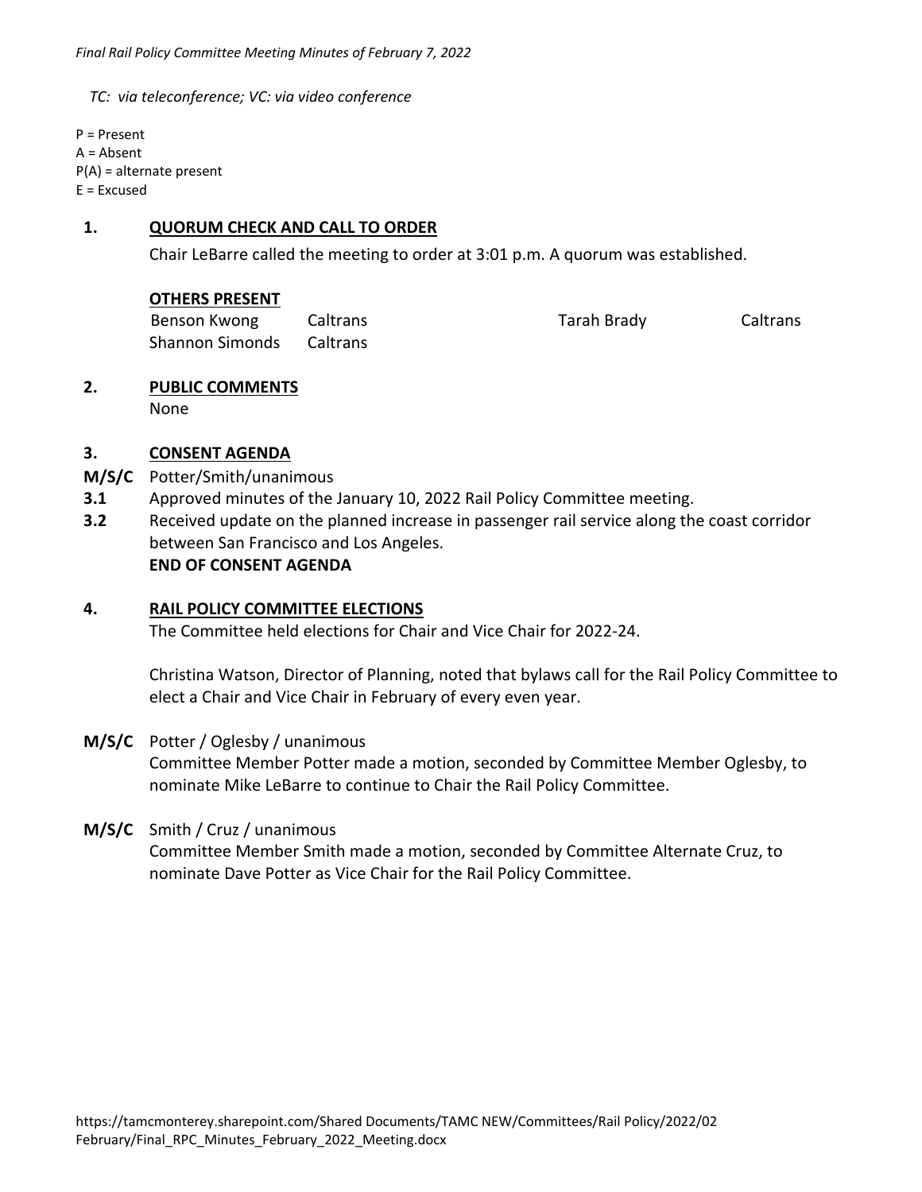*TC: via teleconference; VC: via video conference* 

P = Present A = Absent P(A) = alternate present  $E = Excused$ 

### **1. QUORUM CHECK AND CALL TO ORDER**

Chair LeBarre called the meeting to order at 3:01 p.m. A quorum was established.

| Benson Kwong                    | Caltrans | Tarah Brady | Caltrans |
|---------------------------------|----------|-------------|----------|
| <b>Shannon Simonds</b> Caltrans |          |             |          |

# **2. PUBLIC COMMENTS**

None

# **3. CONSENT AGENDA**

- **M/S/C**  Potter/Smith/unanimous
- **3.1**  Approved minutes of the January 10, 2022 Rail Policy Committee meeting.
- **3.2**  Received update on the planned increase in passenger rail service along the coast corridor between San Francisco and Los Angeles.  **END OF CONSENT AGENDA**

#### **4. RAIL POLICY COMMITTEE ELECTIONS**

The Committee held elections for Chair and Vice Chair for 2022‐24.

Christina Watson, Director of Planning, noted that bylaws call for the Rail Policy Committee to elect a Chair and Vice Chair in February of every even year.

# **M/S/C**  Potter / Oglesby / unanimous

Committee Member Potter made a motion, seconded by Committee Member Oglesby, to nominate Mike LeBarre to continue to Chair the Rail Policy Committee.

#### **M/S/C** Smith / Cruz / unanimous

Committee Member Smith made a motion, seconded by Committee Alternate Cruz, to nominate Dave Potter as Vice Chair for the Rail Policy Committee.